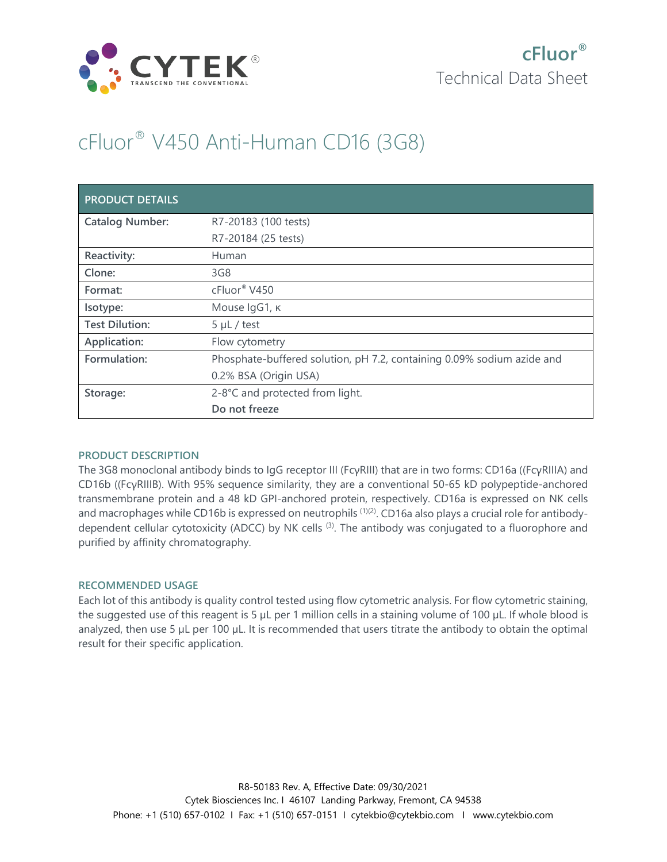

# cFluor® V450 Anti-Human CD16 (3G8)

| <b>PRODUCT DETAILS</b> |                                                                        |
|------------------------|------------------------------------------------------------------------|
| <b>Catalog Number:</b> | R7-20183 (100 tests)                                                   |
|                        | R7-20184 (25 tests)                                                    |
| Reactivity:            | Human                                                                  |
| Clone:                 | 3G8                                                                    |
| Format:                | cFluor® V450                                                           |
| Isotype:               | Mouse IgG1, к                                                          |
| <b>Test Dilution:</b>  | $5 \mu L$ / test                                                       |
| Application:           | Flow cytometry                                                         |
| Formulation:           | Phosphate-buffered solution, pH 7.2, containing 0.09% sodium azide and |
|                        | 0.2% BSA (Origin USA)                                                  |
| Storage:               | 2-8°C and protected from light.                                        |
|                        | Do not freeze                                                          |

## **PRODUCT DESCRIPTION**

The 3G8 monoclonal antibody binds to IgG receptor III (FcγRIII) that are in two forms: CD16a ((FcγRIIIA) and CD16b ((FcγRIIIB). With 95% sequence similarity, they are a conventional 50-65 kD polypeptide-anchored transmembrane protein and a 48 kD GPI-anchored protein, respectively. CD16a is expressed on NK cells and macrophages while CD16b is expressed on neutrophils <sup>(1)(2)</sup>. CD16a also plays a crucial role for antibodydependent cellular cytotoxicity (ADCC) by NK cells <sup>(3)</sup>. The antibody was conjugated to a fluorophore and purified by affinity chromatography.

#### **RECOMMENDED USAGE**

Each lot of this antibody is quality control tested using flow cytometric analysis. For flow cytometric staining, the suggested use of this reagent is 5 µL per 1 million cells in a staining volume of 100 µL. If whole blood is analyzed, then use 5 µL per 100 µL. It is recommended that users titrate the antibody to obtain the optimal result for their specific application.